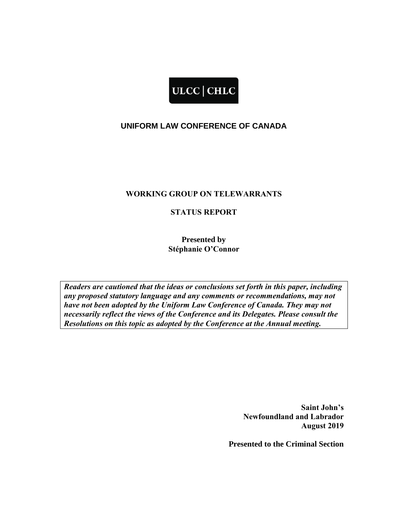## ULCC | CHLC

## **UNIFORM LAW CONFERENCE OF CANADA**

## **WORKING GROUP ON TELEWARRANTS**

## **STATUS REPORT**

**Presented by Stéphanie O'Connor**

*Readers are cautioned that the ideas or conclusions set forth in this paper, including any proposed statutory language and any comments or recommendations, may not have not been adopted by the Uniform Law Conference of Canada. They may not necessarily reflect the views of the Conference and its Delegates. Please consult the Resolutions on this topic as adopted by the Conference at the Annual meeting.*

> **Saint John's Newfoundland and Labrador August 2019**

**Presented to the Criminal Section**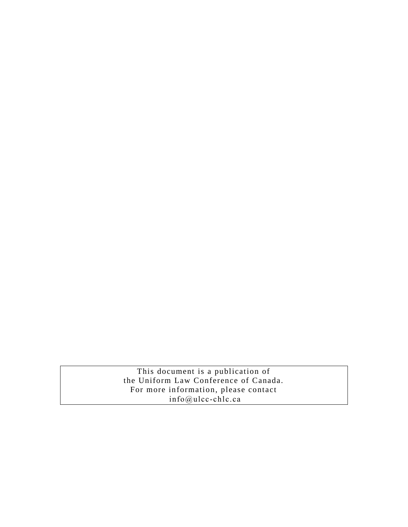This document is a publication of the Uniform Law Conference of Canada. For more information, please contact info@ulcc-chlc.ca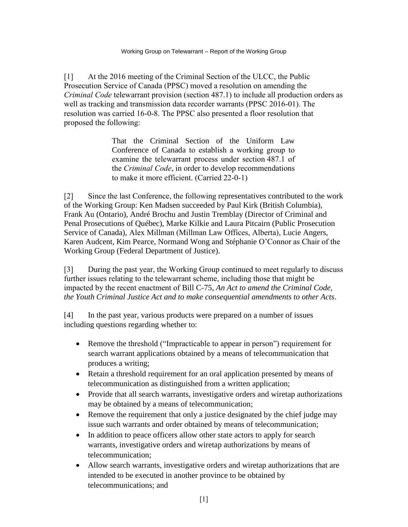[1] At the 2016 meeting of the Criminal Section of the ULCC, the Public Prosecution Service of Canada (PPSC) moved a resolution on amending the *Criminal Code* telewarrant provision (section 487.1) to include all production orders as well as tracking and transmission data recorder warrants (PPSC 2016-01). The resolution was carried 16-0-8. The PPSC also presented a floor resolution that proposed the following:

> That the Criminal Section of the Uniform Law Conference of Canada to establish a working group to examine the telewarrant process under section 487.1 of the *Criminal Code*, in order to develop recommendations to make it more efficient. (Carried 22-0-1)

[2] Since the last Conference, the following representatives contributed to the work of the Working Group: Ken Madsen succeeded by Paul Kirk (British Columbia), Frank Au (Ontario), André Brochu and Justin Tremblay (Director of Criminal and Penal Prosecutions of Québec), Marke Kilkie and Laura Pitcairn (Public Prosecution Service of Canada), Alex Millman (Millman Law Offices, Alberta), Lucie Angers, Karen Audcent, Kim Pearce, Normand Wong and Stéphanie O'Connor as Chair of the Working Group (Federal Department of Justice).

[3] During the past year, the Working Group continued to meet regularly to discuss further issues relating to the telewarrant scheme, including those that might be impacted by the recent enactment of Bill C-75, *An Act to amend the Criminal Code, the Youth Criminal Justice Act and to make consequential amendments to other Acts*.

[4] In the past year, various products were prepared on a number of issues including questions regarding whether to:

- Remove the threshold ("Impracticable to appear in person") requirement for search warrant applications obtained by a means of telecommunication that produces a writing;
- Retain a threshold requirement for an oral application presented by means of telecommunication as distinguished from a written application;
- Provide that all search warrants, investigative orders and wiretap authorizations may be obtained by a means of telecommunication;
- Remove the requirement that only a justice designated by the chief judge may issue such warrants and order obtained by means of telecommunication;
- In addition to peace officers allow other state actors to apply for search warrants, investigative orders and wiretap authorizations by means of telecommunication;
- Allow search warrants, investigative orders and wiretap authorizations that are intended to be executed in another province to be obtained by telecommunications; and